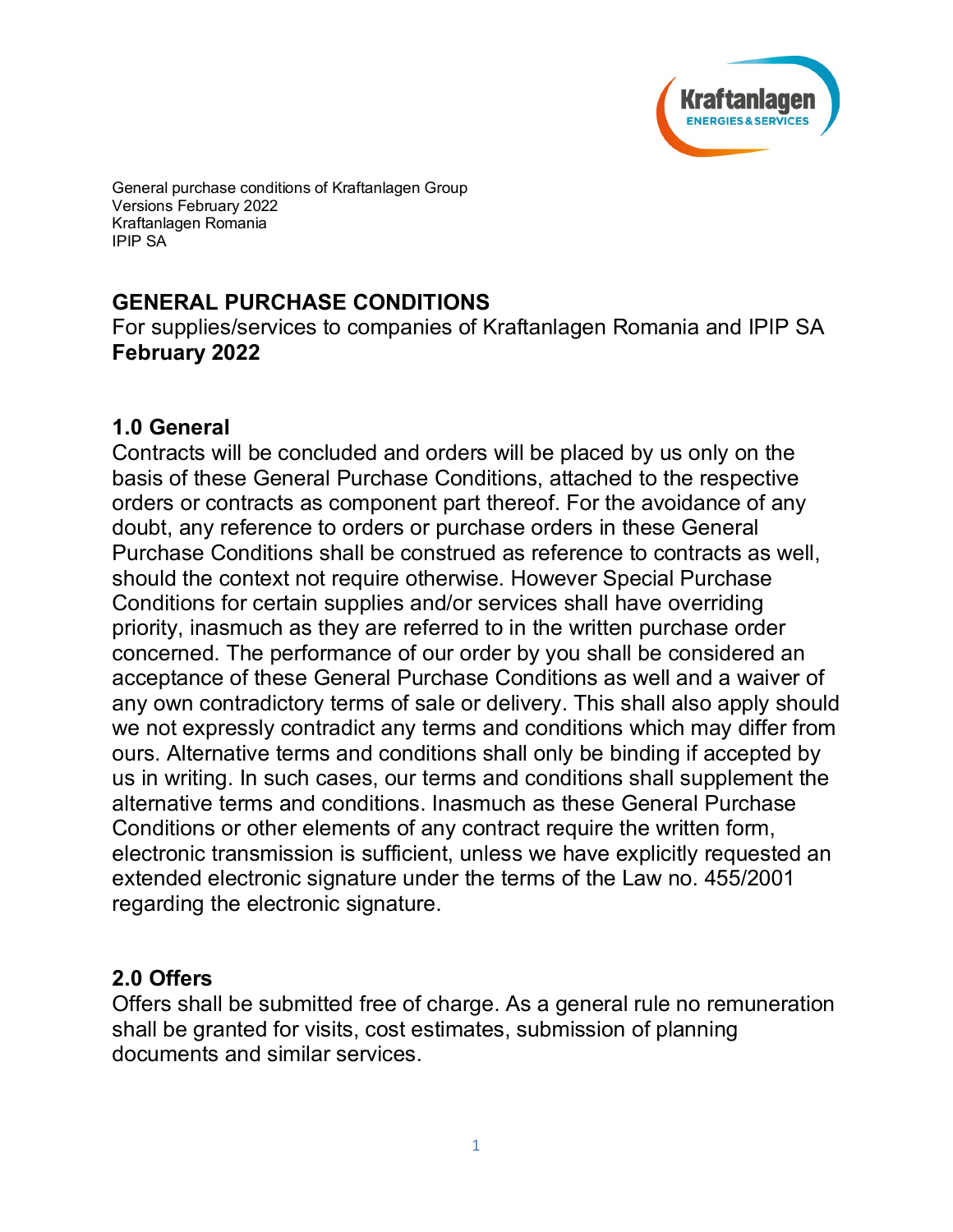

General purchase conditions of Kraftanlagen Group Versions February 2022 Kraftanlagen Romania IPIP SA

# **GENERAL PURCHASE CONDITIONS**

For supplies/services to companies of Kraftanlagen Romania and IPIP SA **February 2022**

#### **1.0 General**

Contracts will be concluded and orders will be placed by us only on the basis of these General Purchase Conditions, attached to the respective orders or contracts as component part thereof. For the avoidance of any doubt, any reference to orders or purchase orders in these General Purchase Conditions shall be construed as reference to contracts as well, should the context not require otherwise. However Special Purchase Conditions for certain supplies and/or services shall have overriding priority, inasmuch as they are referred to in the written purchase order concerned. The performance of our order by you shall be considered an acceptance of these General Purchase Conditions as well and a waiver of any own contradictory terms of sale or delivery. This shall also apply should we not expressly contradict any terms and conditions which may differ from ours. Alternative terms and conditions shall only be binding if accepted by us in writing. In such cases, our terms and conditions shall supplement the alternative terms and conditions. Inasmuch as these General Purchase Conditions or other elements of any contract require the written form, electronic transmission is sufficient, unless we have explicitly requested an extended electronic signature under the terms of the Law no. 455/2001 regarding the electronic signature.

#### **2.0 Offers**

Offers shall be submitted free of charge. As a general rule no remuneration shall be granted for visits, cost estimates, submission of planning documents and similar services.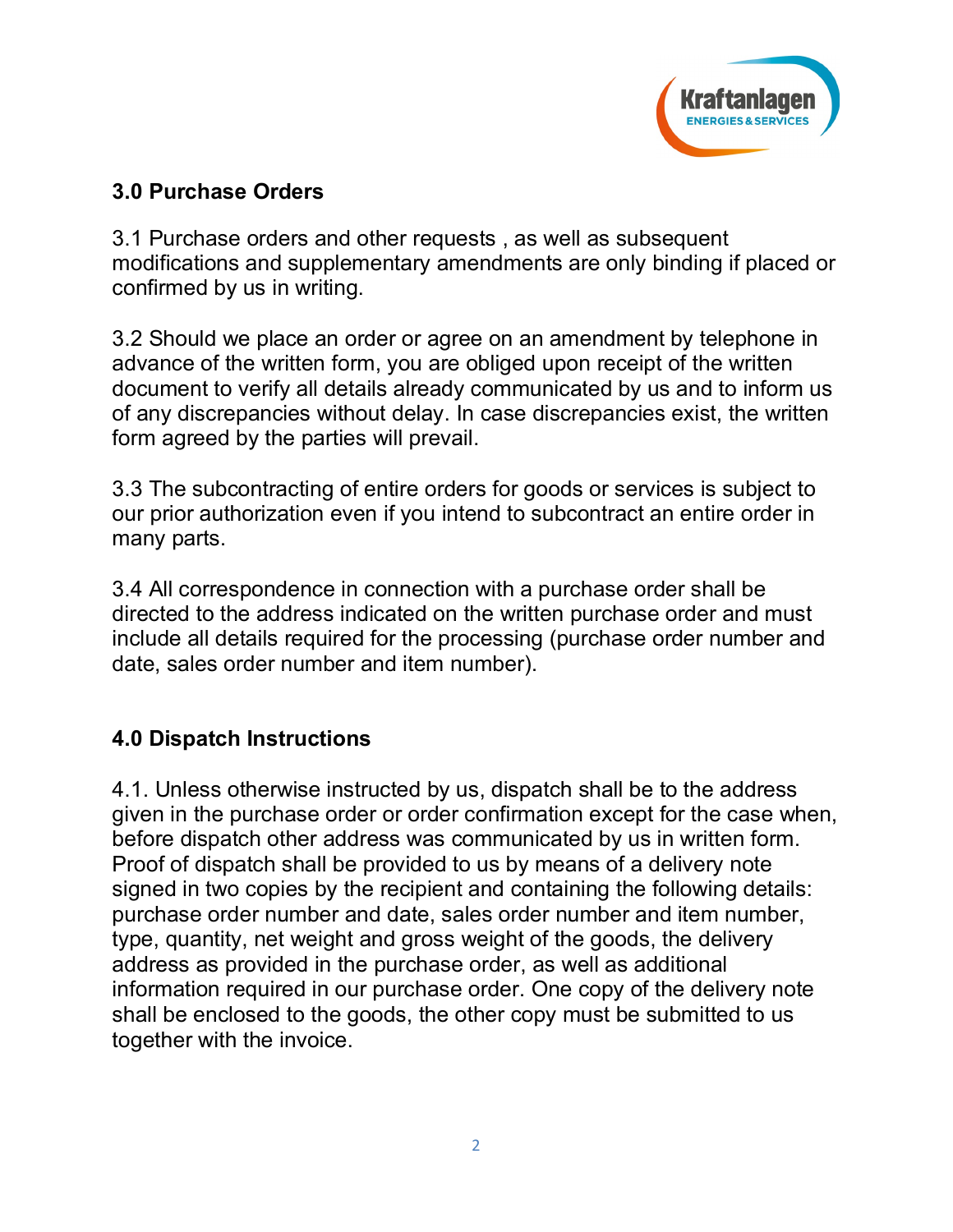

#### **3.0 Purchase Orders**

3.1 Purchase orders and other requests , as well as subsequent modifications and supplementary amendments are only binding if placed or confirmed by us in writing.

3.2 Should we place an order or agree on an amendment by telephone in advance of the written form, you are obliged upon receipt of the written document to verify all details already communicated by us and to inform us of any discrepancies without delay. In case discrepancies exist, the written form agreed by the parties will prevail.

3.3 The subcontracting of entire orders for goods or services is subject to our prior authorization even if you intend to subcontract an entire order in many parts.

3.4 All correspondence in connection with a purchase order shall be directed to the address indicated on the written purchase order and must include all details required for the processing (purchase order number and date, sales order number and item number).

## **4.0 Dispatch Instructions**

4.1. Unless otherwise instructed by us, dispatch shall be to the address given in the purchase order or order confirmation except for the case when, before dispatch other address was communicated by us in written form. Proof of dispatch shall be provided to us by means of a delivery note signed in two copies by the recipient and containing the following details: purchase order number and date, sales order number and item number, type, quantity, net weight and gross weight of the goods, the delivery address as provided in the purchase order, as well as additional information required in our purchase order. One copy of the delivery note shall be enclosed to the goods, the other copy must be submitted to us together with the invoice.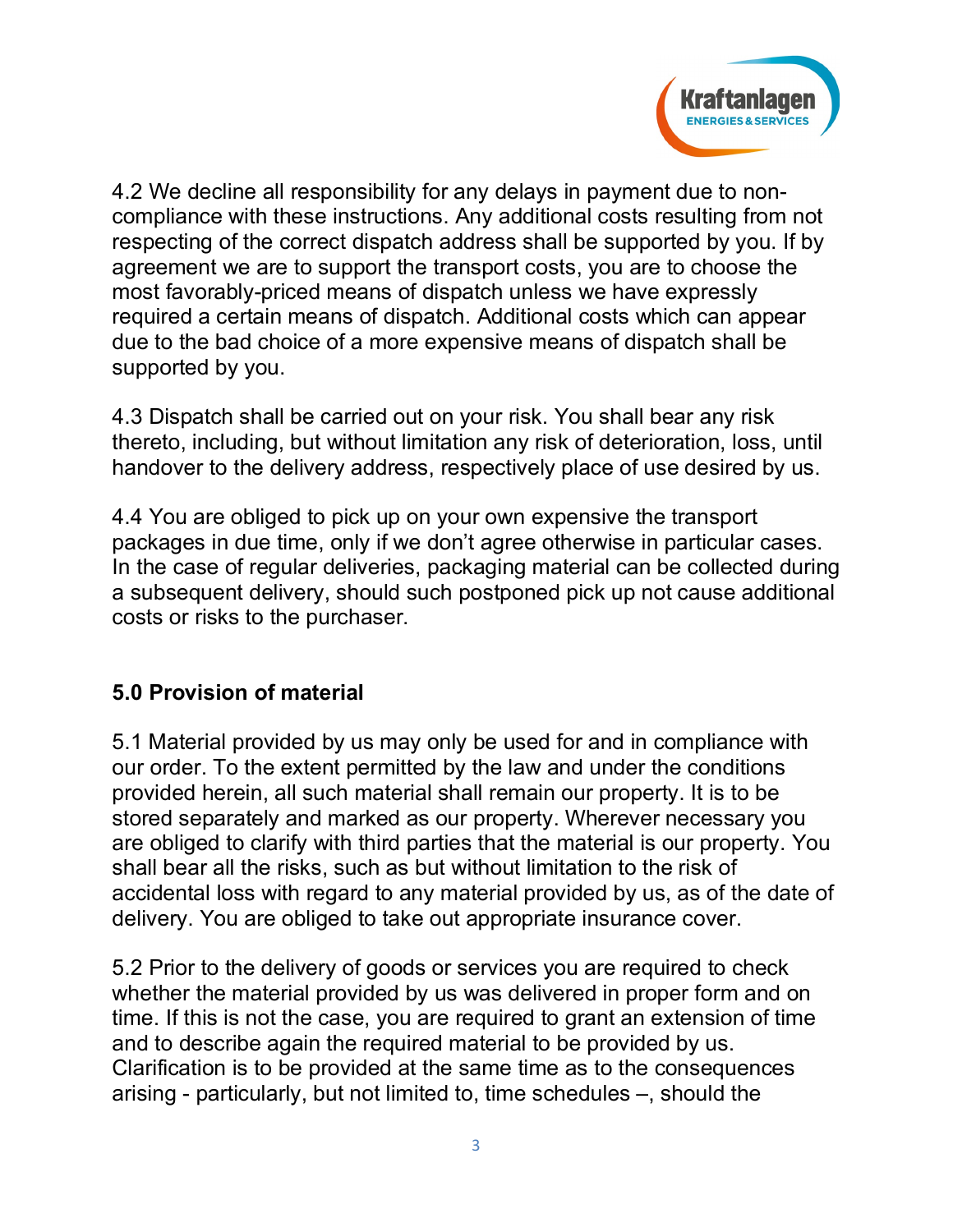

4.2 We decline all responsibility for any delays in payment due to noncompliance with these instructions. Any additional costs resulting from not respecting of the correct dispatch address shall be supported by you. If by agreement we are to support the transport costs, you are to choose the most favorably-priced means of dispatch unless we have expressly required a certain means of dispatch. Additional costs which can appear due to the bad choice of a more expensive means of dispatch shall be supported by you.

4.3 Dispatch shall be carried out on your risk. You shall bear any risk thereto, including, but without limitation any risk of deterioration, loss, until handover to the delivery address, respectively place of use desired by us.

4.4 You are obliged to pick up on your own expensive the transport packages in due time, only if we don't agree otherwise in particular cases. In the case of regular deliveries, packaging material can be collected during a subsequent delivery, should such postponed pick up not cause additional costs or risks to the purchaser.

## **5.0 Provision of material**

5.1 Material provided by us may only be used for and in compliance with our order. To the extent permitted by the law and under the conditions provided herein, all such material shall remain our property. It is to be stored separately and marked as our property. Wherever necessary you are obliged to clarify with third parties that the material is our property. You shall bear all the risks, such as but without limitation to the risk of accidental loss with regard to any material provided by us, as of the date of delivery. You are obliged to take out appropriate insurance cover.

5.2 Prior to the delivery of goods or services you are required to check whether the material provided by us was delivered in proper form and on time. If this is not the case, you are required to grant an extension of time and to describe again the required material to be provided by us. Clarification is to be provided at the same time as to the consequences arising - particularly, but not limited to, time schedules –, should the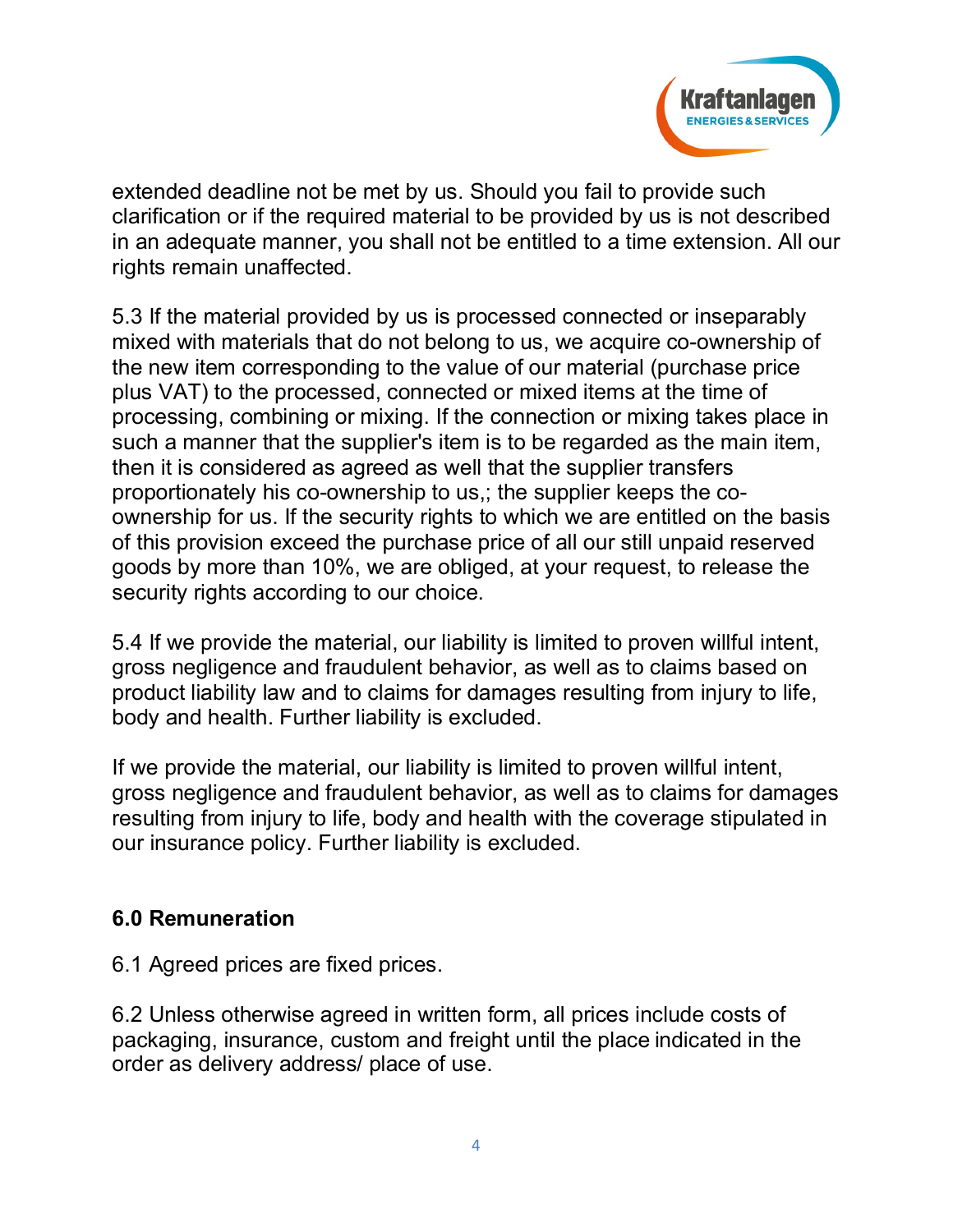

extended deadline not be met by us. Should you fail to provide such clarification or if the required material to be provided by us is not described in an adequate manner, you shall not be entitled to a time extension. All our rights remain unaffected.

5.3 If the material provided by us is processed connected or inseparably mixed with materials that do not belong to us, we acquire co-ownership of the new item corresponding to the value of our material (purchase price plus VAT) to the processed, connected or mixed items at the time of processing, combining or mixing. If the connection or mixing takes place in such a manner that the supplier's item is to be regarded as the main item, then it is considered as agreed as well that the supplier transfers proportionately his co-ownership to us,; the supplier keeps the coownership for us. If the security rights to which we are entitled on the basis of this provision exceed the purchase price of all our still unpaid reserved goods by more than 10%, we are obliged, at your request, to release the security rights according to our choice.

5.4 If we provide the material, our liability is limited to proven willful intent, gross negligence and fraudulent behavior, as well as to claims based on product liability law and to claims for damages resulting from injury to life, body and health. Further liability is excluded.

If we provide the material, our liability is limited to proven willful intent, gross negligence and fraudulent behavior, as well as to claims for damages resulting from injury to life, body and health with the coverage stipulated in our insurance policy. Further liability is excluded.

## **6.0 Remuneration**

6.1 Agreed prices are fixed prices.

6.2 Unless otherwise agreed in written form, all prices include costs of packaging, insurance, custom and freight until the place indicated in the order as delivery address/ place of use.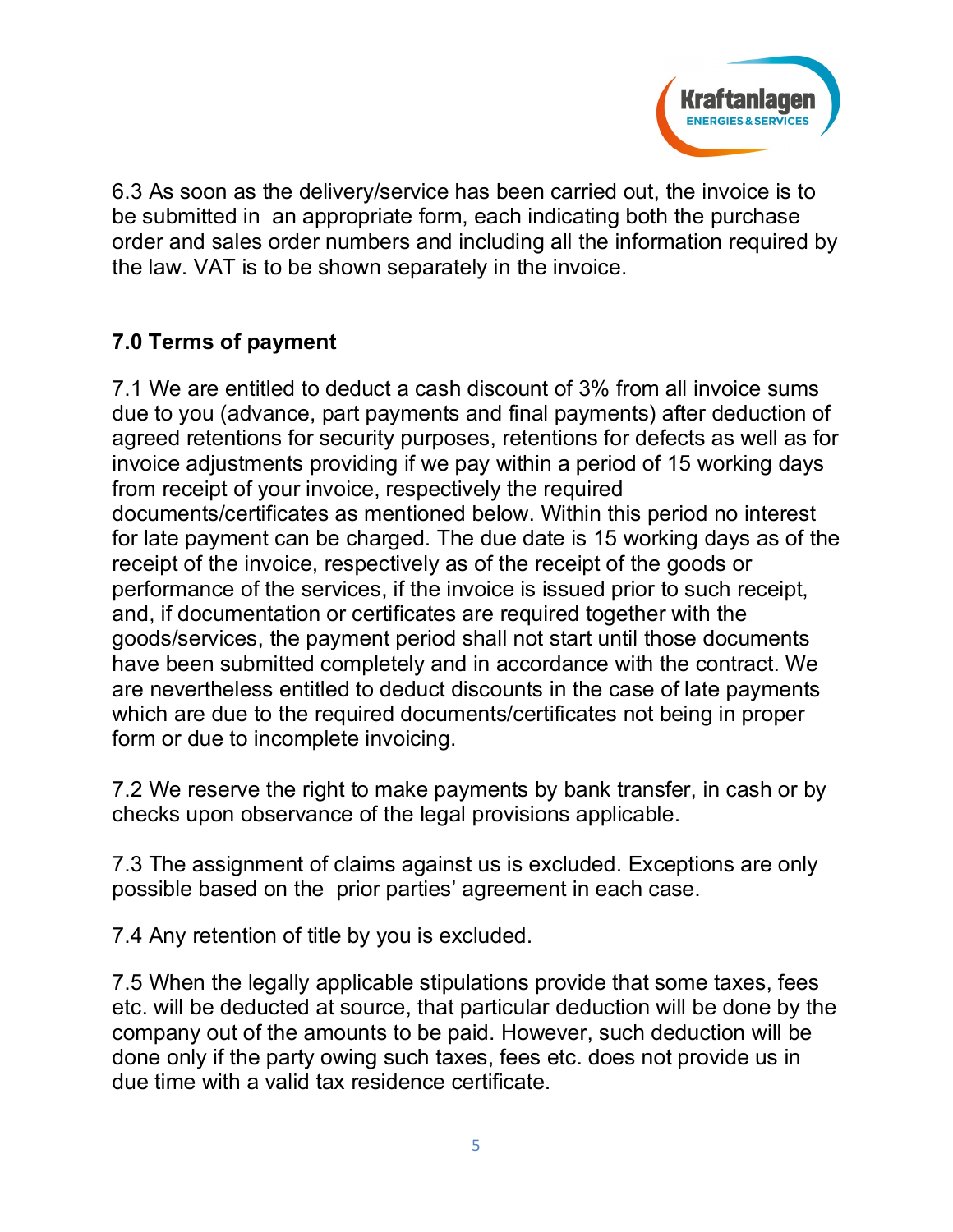

6.3 As soon as the delivery/service has been carried out, the invoice is to be submitted in an appropriate form, each indicating both the purchase order and sales order numbers and including all the information required by the law. VAT is to be shown separately in the invoice.

# **7.0 Terms of payment**

7.1 We are entitled to deduct a cash discount of 3% from all invoice sums due to you (advance, part payments and final payments) after deduction of agreed retentions for security purposes, retentions for defects as well as for invoice adjustments providing if we pay within a period of 15 working days from receipt of your invoice, respectively the required documents/certificates as mentioned below. Within this period no interest for late payment can be charged. The due date is 15 working days as of the receipt of the invoice, respectively as of the receipt of the goods or performance of the services, if the invoice is issued prior to such receipt, and, if documentation or certificates are required together with the goods/services, the payment period shall not start until those documents have been submitted completely and in accordance with the contract. We are nevertheless entitled to deduct discounts in the case of late payments which are due to the required documents/certificates not being in proper form or due to incomplete invoicing.

7.2 We reserve the right to make payments by bank transfer, in cash or by checks upon observance of the legal provisions applicable.

7.3 The assignment of claims against us is excluded. Exceptions are only possible based on the prior parties' agreement in each case.

7.4 Any retention of title by you is excluded.

7.5 When the legally applicable stipulations provide that some taxes, fees etc. will be deducted at source, that particular deduction will be done by the company out of the amounts to be paid. However, such deduction will be done only if the party owing such taxes, fees etc. does not provide us in due time with a valid tax residence certificate.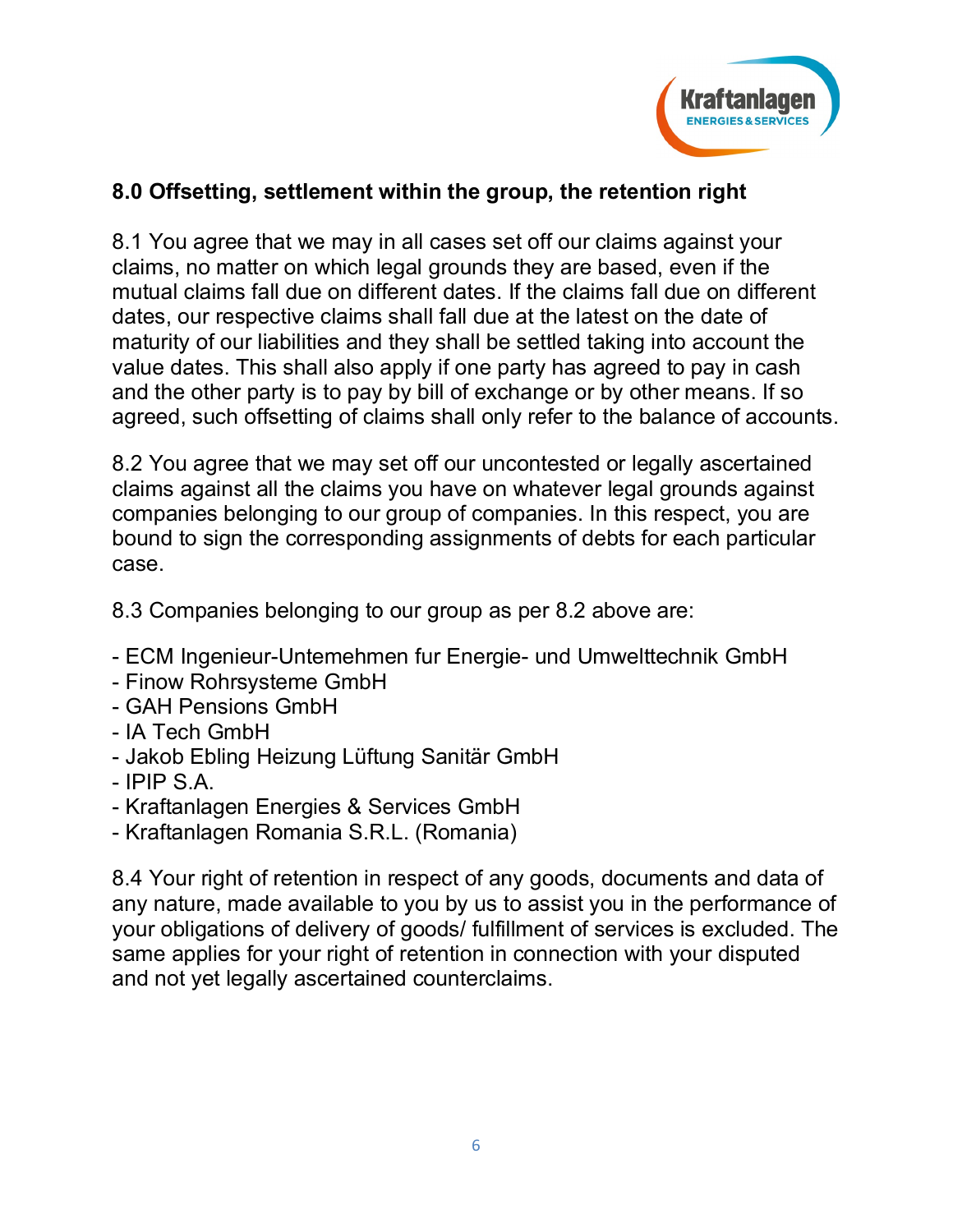

## **8.0 Offsetting, settlement within the group, the retention right**

8.1 You agree that we may in all cases set off our claims against your claims, no matter on which legal grounds they are based, even if the mutual claims fall due on different dates. If the claims fall due on different dates, our respective claims shall fall due at the latest on the date of maturity of our liabilities and they shall be settled taking into account the value dates. This shall also apply if one party has agreed to pay in cash and the other party is to pay by bill of exchange or by other means. If so agreed, such offsetting of claims shall only refer to the balance of accounts.

8.2 You agree that we may set off our uncontested or legally ascertained claims against all the claims you have on whatever legal grounds against companies belonging to our group of companies. In this respect, you are bound to sign the corresponding assignments of debts for each particular case.

8.3 Companies belonging to our group as per 8.2 above are:

- ECM Ingenieur-Untemehmen fur Energie- und Umwelttechnik GmbH
- Finow Rohrsysteme GmbH
- GAH Pensions GmbH
- IA Tech GmbH
- Jakob Ebling Heizung Lüftung Sanitär GmbH
- IPIP S.A.
- Kraftanlagen Energies & Services GmbH
- Kraftanlagen Romania S.R.L. (Romania)

8.4 Your right of retention in respect of any goods, documents and data of any nature, made available to you by us to assist you in the performance of your obligations of delivery of goods/ fulfillment of services is excluded. The same applies for your right of retention in connection with your disputed and not yet legally ascertained counterclaims.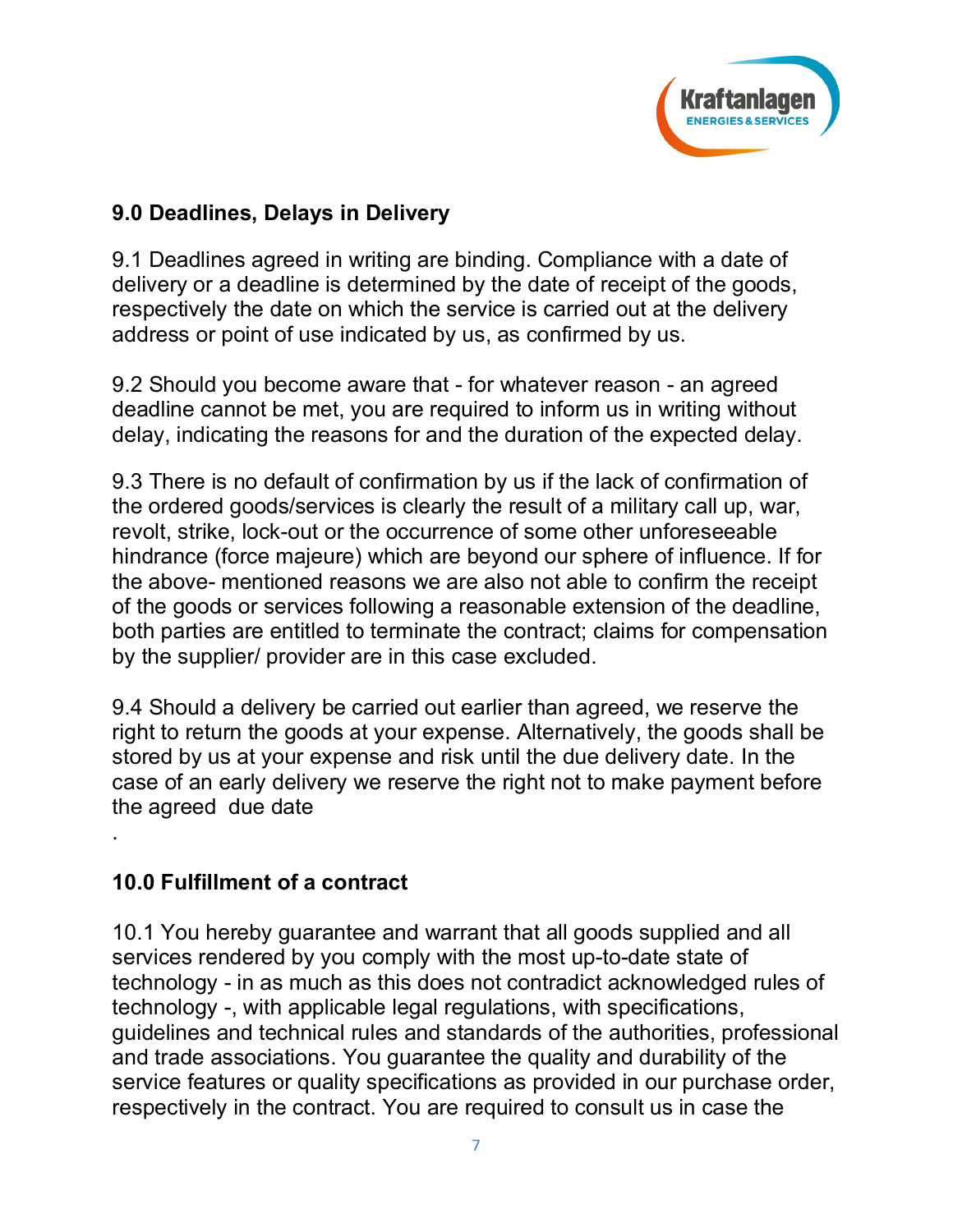

# **9.0 Deadlines, Delays in Delivery**

9.1 Deadlines agreed in writing are binding. Compliance with a date of delivery or a deadline is determined by the date of receipt of the goods, respectively the date on which the service is carried out at the delivery address or point of use indicated by us, as confirmed by us.

9.2 Should you become aware that - for whatever reason - an agreed deadline cannot be met, you are required to inform us in writing without delay, indicating the reasons for and the duration of the expected delay.

9.3 There is no default of confirmation by us if the lack of confirmation of the ordered goods/services is clearly the result of a military call up, war, revolt, strike, lock-out or the occurrence of some other unforeseeable hindrance (force majeure) which are beyond our sphere of influence. If for the above- mentioned reasons we are also not able to confirm the receipt of the goods or services following a reasonable extension of the deadline, both parties are entitled to terminate the contract; claims for compensation by the supplier/ provider are in this case excluded.

9.4 Should a delivery be carried out earlier than agreed, we reserve the right to return the goods at your expense. Alternatively, the goods shall be stored by us at your expense and risk until the due delivery date. In the case of an early delivery we reserve the right not to make payment before the agreed due date

## **10.0 Fulfillment of a contract**

.

10.1 You hereby guarantee and warrant that all goods supplied and all services rendered by you comply with the most up-to-date state of technology - in as much as this does not contradict acknowledged rules of technology -, with applicable legal regulations, with specifications, guidelines and technical rules and standards of the authorities, professional and trade associations. You guarantee the quality and durability of the service features or quality specifications as provided in our purchase order, respectively in the contract. You are required to consult us in case the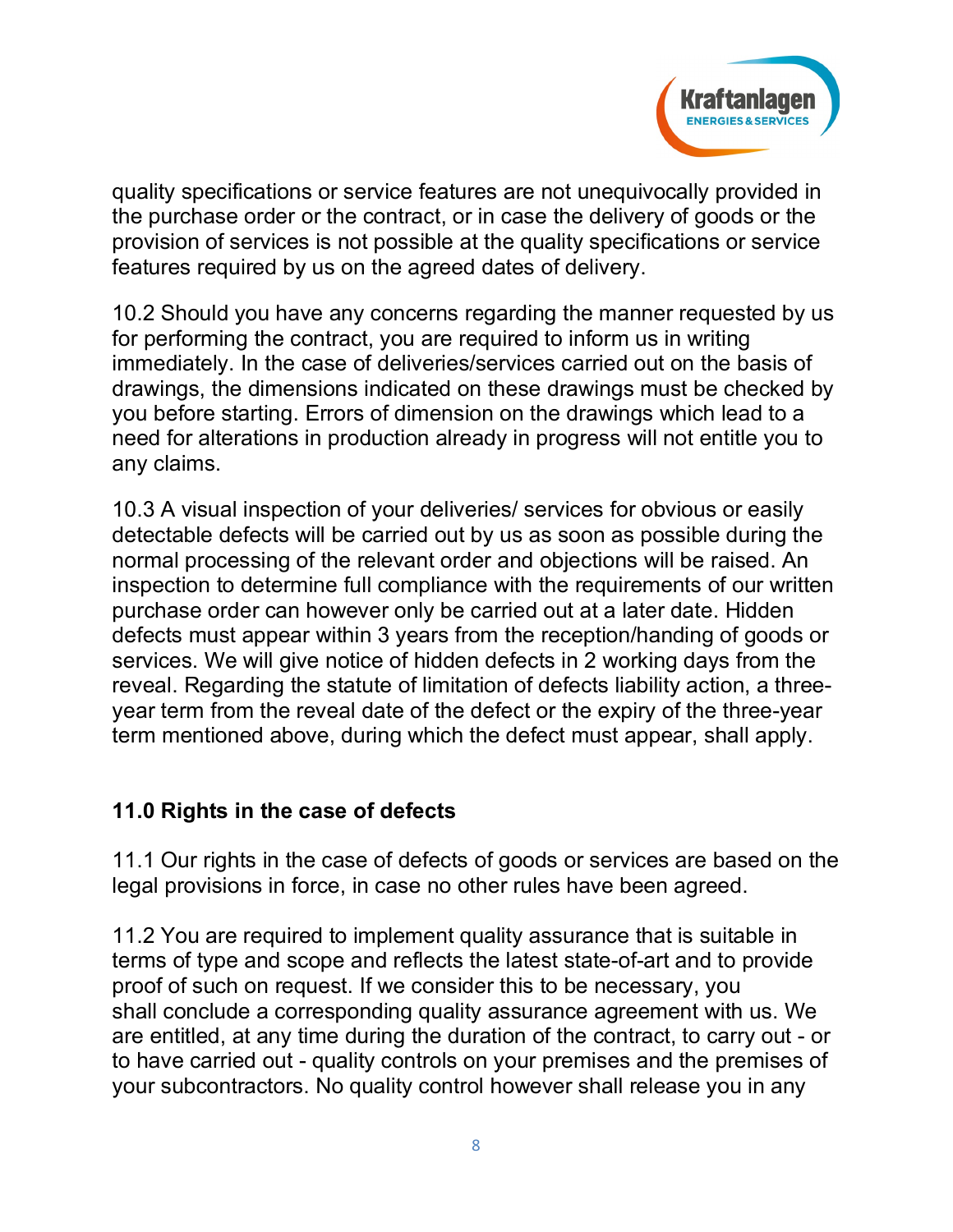

quality specifications or service features are not unequivocally provided in the purchase order or the contract, or in case the delivery of goods or the provision of services is not possible at the quality specifications or service features required by us on the agreed dates of delivery.

10.2 Should you have any concerns regarding the manner requested by us for performing the contract, you are required to inform us in writing immediately. In the case of deliveries/services carried out on the basis of drawings, the dimensions indicated on these drawings must be checked by you before starting. Errors of dimension on the drawings which lead to a need for alterations in production already in progress will not entitle you to any claims.

10.3 A visual inspection of your deliveries/ services for obvious or easily detectable defects will be carried out by us as soon as possible during the normal processing of the relevant order and objections will be raised. An inspection to determine full compliance with the requirements of our written purchase order can however only be carried out at a later date. Hidden defects must appear within 3 years from the reception/handing of goods or services. We will give notice of hidden defects in 2 working days from the reveal. Regarding the statute of limitation of defects liability action, a threeyear term from the reveal date of the defect or the expiry of the three-year term mentioned above, during which the defect must appear, shall apply.

#### **11.0 Rights in the case of defects**

11.1 Our rights in the case of defects of goods or services are based on the legal provisions in force, in case no other rules have been agreed.

11.2 You are required to implement quality assurance that is suitable in terms of type and scope and reflects the latest state-of-art and to provide proof of such on request. If we consider this to be necessary, you shall conclude a corresponding quality assurance agreement with us. We are entitled, at any time during the duration of the contract, to carry out - or to have carried out - quality controls on your premises and the premises of your subcontractors. No quality control however shall release you in any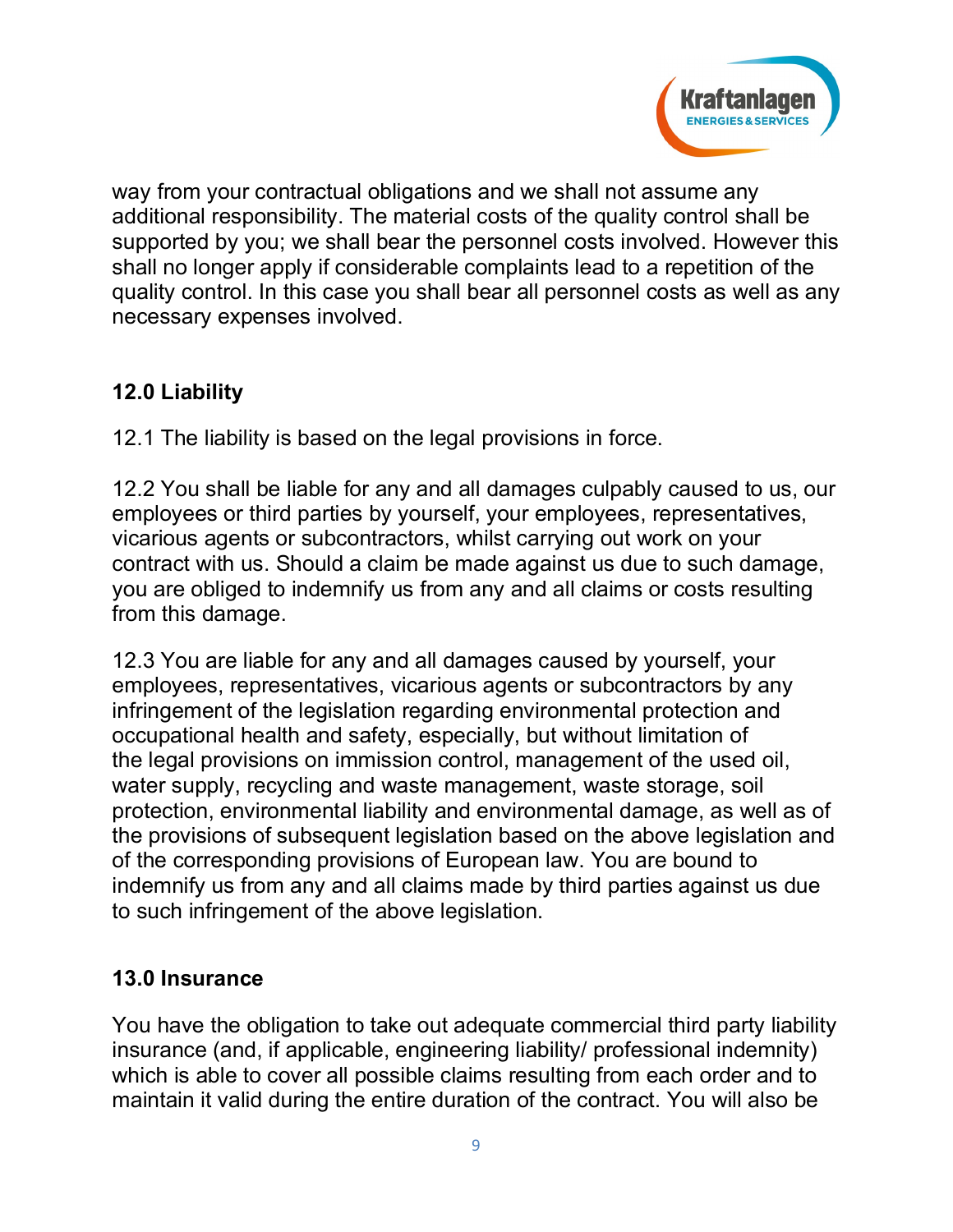

way from your contractual obligations and we shall not assume any additional responsibility. The material costs of the quality control shall be supported by you; we shall bear the personnel costs involved. However this shall no longer apply if considerable complaints lead to a repetition of the quality control. In this case you shall bear all personnel costs as well as any necessary expenses involved.

# **12.0 Liability**

12.1 The liability is based on the legal provisions in force.

12.2 You shall be liable for any and all damages culpably caused to us, our employees or third parties by yourself, your employees, representatives, vicarious agents or subcontractors, whilst carrying out work on your contract with us. Should a claim be made against us due to such damage, you are obliged to indemnify us from any and all claims or costs resulting from this damage.

12.3 You are liable for any and all damages caused by yourself, your employees, representatives, vicarious agents or subcontractors by any infringement of the legislation regarding environmental protection and occupational health and safety, especially, but without limitation of the legal provisions on immission control, management of the used oil, water supply, recycling and waste management, waste storage, soil protection, environmental liability and environmental damage, as well as of the provisions of subsequent legislation based on the above legislation and of the corresponding provisions of European law. You are bound to indemnify us from any and all claims made by third parties against us due to such infringement of the above legislation.

# **13.0 Insurance**

You have the obligation to take out adequate commercial third party liability insurance (and, if applicable, engineering liability/ professional indemnity) which is able to cover all possible claims resulting from each order and to maintain it valid during the entire duration of the contract. You will also be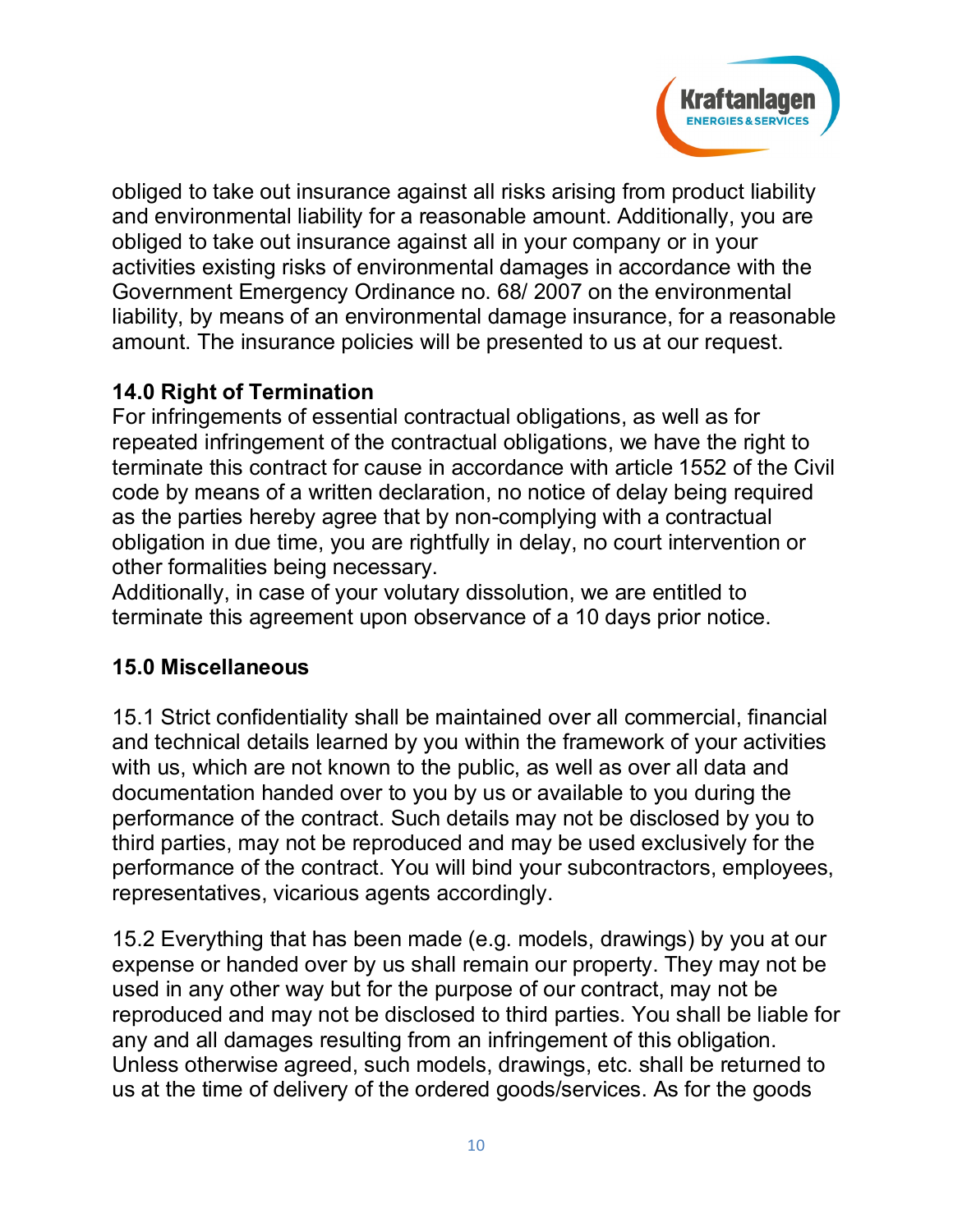

obliged to take out insurance against all risks arising from product liability and environmental liability for a reasonable amount. Additionally, you are obliged to take out insurance against all in your company or in your activities existing risks of environmental damages in accordance with the Government Emergency Ordinance no. 68/ 2007 on the environmental liability, by means of an environmental damage insurance, for a reasonable amount. The insurance policies will be presented to us at our request.

# **14.0 Right of Termination**

For infringements of essential contractual obligations, as well as for repeated infringement of the contractual obligations, we have the right to terminate this contract for cause in accordance with article 1552 of the Civil code by means of a written declaration, no notice of delay being required as the parties hereby agree that by non-complying with a contractual obligation in due time, you are rightfully in delay, no court intervention or other formalities being necessary.

Additionally, in case of your volutary dissolution, we are entitled to terminate this agreement upon observance of a 10 days prior notice.

## **15.0 Miscellaneous**

15.1 Strict confidentiality shall be maintained over all commercial, financial and technical details learned by you within the framework of your activities with us, which are not known to the public, as well as over all data and documentation handed over to you by us or available to you during the performance of the contract. Such details may not be disclosed by you to third parties, may not be reproduced and may be used exclusively for the performance of the contract. You will bind your subcontractors, employees, representatives, vicarious agents accordingly.

15.2 Everything that has been made (e.g. models, drawings) by you at our expense or handed over by us shall remain our property. They may not be used in any other way but for the purpose of our contract, may not be reproduced and may not be disclosed to third parties. You shall be liable for any and all damages resulting from an infringement of this obligation. Unless otherwise agreed, such models, drawings, etc. shall be returned to us at the time of delivery of the ordered goods/services. As for the goods